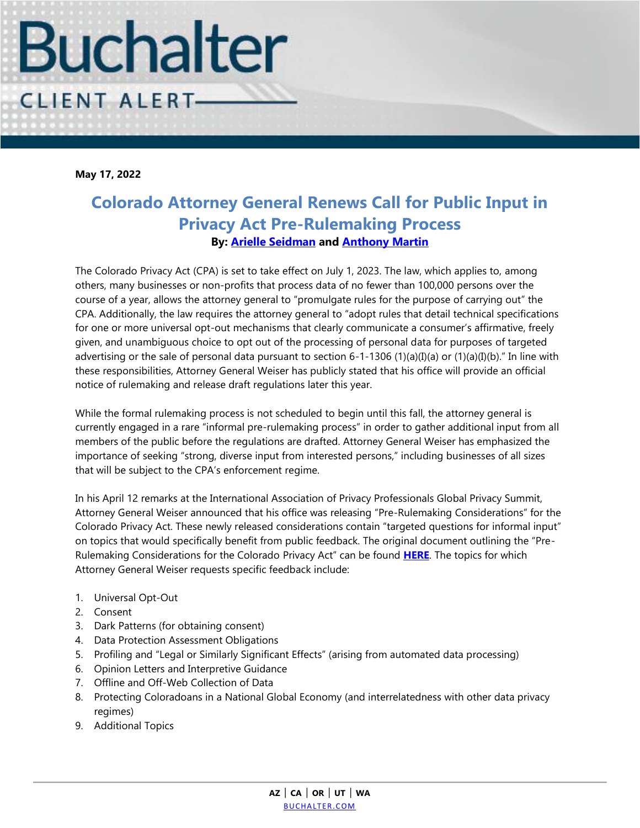

**May 17, 2022**

## **Colorado Attorney General Renews Call for Public Input in Privacy Act Pre-Rulemaking Process By: [Arielle Seidman](https://www.buchalter.com/attorneys/arielle-a-seidman/#bio) and [Anthony Martin](https://www.buchalter.com/attorneys/anthony-martin/#bio)**

The Colorado Privacy Act (CPA) is set to take effect on July 1, 2023. The law, which applies to, among others, many businesses or non-profits that process data of no fewer than 100,000 persons over the course of a year, allows the attorney general to "promulgate rules for the purpose of carrying out" the CPA. Additionally, the law requires the attorney general to "adopt rules that detail technical specifications for one or more universal opt-out mechanisms that clearly communicate a consumer's affirmative, freely given, and unambiguous choice to opt out of the processing of personal data for purposes of targeted advertising or the sale of personal data pursuant to section 6-1-1306 (1)(a)(I)(a) or (1)(a)(I)(b)." In line with these responsibilities, Attorney General Weiser has publicly stated that his office will provide an official notice of rulemaking and release draft regulations later this year.

While the formal rulemaking process is not scheduled to begin until this fall, the attorney general is currently engaged in a rare "informal pre-rulemaking process" in order to gather additional input from all members of the public before the regulations are drafted. Attorney General Weiser has emphasized the importance of seeking "strong, diverse input from interested persons," including businesses of all sizes that will be subject to the CPA's enforcement regime.

In his April 12 remarks at the International Association of Privacy Professionals Global Privacy Summit, Attorney General Weiser announced that his office was releasing "Pre-Rulemaking Considerations" for the Colorado Privacy Act. These newly released considerations contain "targeted questions for informal input" on topics that would specifically benefit from public feedback. The original document outlining the "Pre-Rulemaking Considerations for the Colorado Privacy Act" can be found **[HERE](https://coag.gov/app/uploads/2022/04/Pre-Rulemaking-Considerations-for-the-Colorado-Privacy-Act.pdf)**. The topics for which Attorney General Weiser requests specific feedback include:

- 1. Universal Opt-Out
- 2. Consent
- 3. Dark Patterns (for obtaining consent)
- 4. Data Protection Assessment Obligations
- 5. Profiling and "Legal or Similarly Significant Effects" (arising from automated data processing)
- 6. Opinion Letters and Interpretive Guidance
- 7. Offline and Off-Web Collection of Data
- 8. Protecting Coloradoans in a National Global Economy (and interrelatedness with other data privacy regimes)
- 9. Additional Topics